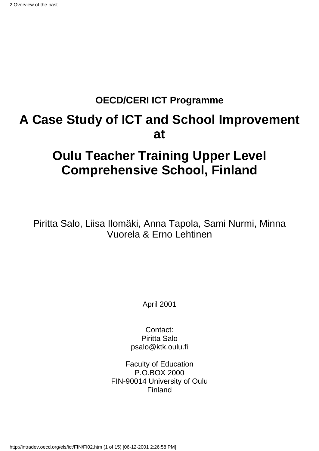#### **OECD/CERI ICT Programme**

# **A Case Study of ICT and School Improvement at**

# **Oulu Teacher Training Upper Level Comprehensive School, Finland**

Piritta Salo, Liisa Ilomäki, Anna Tapola, Sami Nurmi, Minna Vuorela & Erno Lehtinen

April 2001

Contact: Piritta Salo psalo@ktk.oulu.fi

Faculty of Education P.O.BOX 2000 FIN-90014 University of Oulu Finland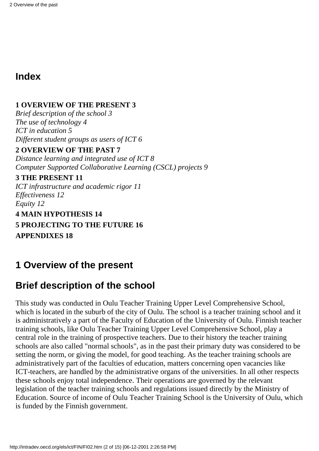#### **Index**

#### **1 OVERVIEW OF THE PRESENT 3**

*Brief description of the school 3 The use of technology 4 ICT in education 5 Different student groups as users of ICT 6*

#### **2 OVERVIEW OF THE PAST 7**

*Distance learning and integrated use of ICT 8 Computer Supported Collaborative Learning (CSCL) projects 9*

#### **3 THE PRESENT 11**

*ICT infrastructure and academic rigor 11 Effectiveness 12 Equity 12* **4 MAIN HYPOTHESIS 14 5 PROJECTING TO THE FUTURE 16**

**APPENDIXES 18**

### **1 Overview of the present**

### **Brief description of the school**

This study was conducted in Oulu Teacher Training Upper Level Comprehensive School, which is located in the suburb of the city of Oulu. The school is a teacher training school and it is administratively a part of the Faculty of Education of the University of Oulu. Finnish teacher training schools, like Oulu Teacher Training Upper Level Comprehensive School, play a central role in the training of prospective teachers. Due to their history the teacher training schools are also called "normal schools", as in the past their primary duty was considered to be setting the norm, or giving the model, for good teaching. As the teacher training schools are administratively part of the faculties of education, matters concerning open vacancies like ICT-teachers, are handled by the administrative organs of the universities. In all other respects these schools enjoy total independence. Their operations are governed by the relevant legislation of the teacher training schools and regulations issued directly by the Ministry of Education. Source of income of Oulu Teacher Training School is the University of Oulu, which is funded by the Finnish government.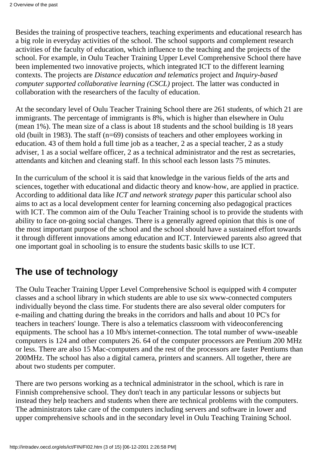Besides the training of prospective teachers, teaching experiments and educational research has a big role in everyday activities of the school. The school supports and complement research activities of the faculty of education, which influence to the teaching and the projects of the school. For example, in Oulu Teacher Training Upper Level Comprehensive School there have been implemented two innovative projects, which integrated ICT to the different learning contexts. The projects are *Distance education and telematics* project and *Inquiry-based computer supported collaborative learning (CSCL)* project. The latter was conducted in collaboration with the researchers of the faculty of education.

At the secondary level of Oulu Teacher Training School there are 261 students, of which 21 are immigrants. The percentage of immigrants is 8%, which is higher than elsewhere in Oulu (mean 1%). The mean size of a class is about 18 students and the school building is 18 years old (built in 1983). The staff (n=69) consists of teachers and other employees working in education. 43 of them hold a full time job as a teacher, 2 as a special teacher, 2 as a study adviser, 1 as a social welfare officer, 2 as a technical administrator and the rest as secretaries, attendants and kitchen and cleaning staff. In this school each lesson lasts 75 minutes.

In the curriculum of the school it is said that knowledge in the various fields of the arts and sciences, together with educational and didactic theory and know-how, are applied in practice. According to additional data like *ICT and network strategy paper* this particular school also aims to act as a local development center for learning concerning also pedagogical practices with ICT. The common aim of the Oulu Teacher Training school is to provide the students with ability to face on-going social changes. There is a generally agreed opinion that this is one of the most important purpose of the school and the school should have a sustained effort towards it through different innovations among education and ICT. Interviewed parents also agreed that one important goal in schooling is to ensure the students basic skills to use ICT.

#### **The use of technology**

The Oulu Teacher Training Upper Level Comprehensive School is equipped with 4 computer classes and a school library in which students are able to use six www-connected computers individually beyond the class time. For students there are also several older computers for e-mailing and chatting during the breaks in the corridors and halls and about 10 PC's for teachers in teachers' lounge. There is also a telematics classroom with videoconferencing equipments. The school has a 10 Mb/s internet-connection. The total number of www-useable computers is 124 and other computers 26. 64 of the computer processors are Pentium 200 MHz or less. There are also 15 Mac-computers and the rest of the processors are faster Pentiums than 200MHz. The school has also a digital camera, printers and scanners. All together, there are about two students per computer.

There are two persons working as a technical administrator in the school, which is rare in Finnish comprehensive school. They don't teach in any particular lessons or subjects but instead they help teachers and students when there are technical problems with the computers. The administrators take care of the computers including servers and software in lower and upper comprehensive schools and in the secondary level in Oulu Teaching Training School.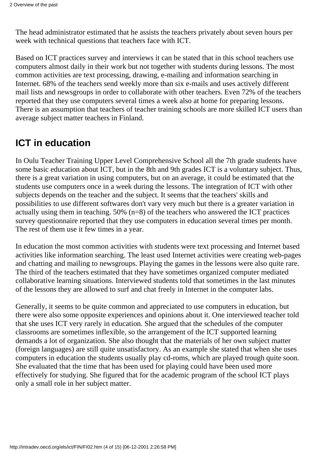The head administrator estimated that he assists the teachers privately about seven hours per week with technical questions that teachers face with ICT.

Based on ICT practices survey and interviews it can be stated that in this school teachers use computers almost daily in their work but not together with students during lessons. The most common activities are text processing, drawing, e-mailing and information searching in Internet. 68% of the teachers send weekly more than six e-mails and uses actively different mail lists and newsgroups in order to collaborate with other teachers. Even 72% of the teachers reported that they use computers several times a week also at home for preparing lessons. There is an assumption that teachers of teacher training schools are more skilled ICT users than average subject matter teachers in Finland.

# **ICT in education**

In Oulu Teacher Training Upper Level Comprehensive School all the 7th grade students have some basic education about ICT, but in the 8th and 9th grades ICT is a voluntary subject. Thus, there is a great variation in using computers, but on an average, it could be estimated that the students use computers once in a week during the lessons. The integration of ICT with other subjects depends on the teacher and the subject. It seems that the teachers' skills and possibilities to use different softwares don't vary very much but there is a greater variation in actually using them in teaching. 50% (n=8) of the teachers who answered the ICT practices survey questionnaire reported that they use computers in education several times per month. The rest of them use it few times in a year.

In education the most common activities with students were text processing and Internet based activities like information searching. The least used Internet activities were creating web-pages and chatting and mailing to newsgroups. Playing the games in the lessons were also quite rare. The third of the teachers estimated that they have sometimes organized computer mediated collaborative learning situations. Interviewed students told that sometimes in the last minutes of the lessons they are allowed to surf and chat freely in Internet in the computer labs.

Generally, it seems to be quite common and appreciated to use computers in education, but there were also some opposite experiences and opinions about it. One interviewed teacher told that she uses ICT very rarely in education. She argued that the schedules of the computer classrooms are sometimes inflexible, so the arrangement of the ICT supported learning demands a lot of organization. She also thought that the materials of her own subject matter (foreign languages) are still quite unsatisfactory. As an example she stated that when she uses computers in education the students usually play cd-roms, which are played trough quite soon. She evaluated that the time that has been used for playing could have been used more effectively for studying. She figured that for the academic program of the school ICT plays only a small role in her subject matter.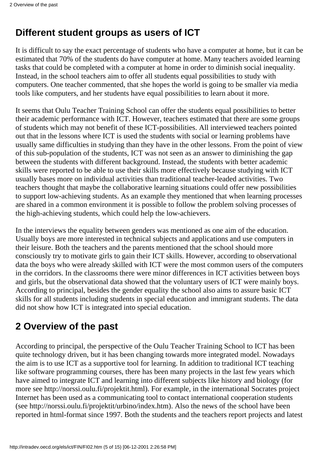#### **Different student groups as users of ICT**

It is difficult to say the exact percentage of students who have a computer at home, but it can be estimated that 70% of the students do have computer at home. Many teachers avoided learning tasks that could be completed with a computer at home in order to diminish social inequality. Instead, in the school teachers aim to offer all students equal possibilities to study with computers. One teacher commented, that she hopes the world is going to be smaller via media tools like computers, and her students have equal possibilities to learn about it more.

It seems that Oulu Teacher Training School can offer the students equal possibilities to better their academic performance with ICT. However, teachers estimated that there are some groups of students which may not benefit of these ICT-possibilities. All interviewed teachers pointed out that in the lessons where ICT is used the students with social or learning problems have usually same difficulties in studying than they have in the other lessons. From the point of view of this sub-population of the students, ICT was not seen as an answer to diminishing the gap between the students with different background. Instead, the students with better academic skills were reported to be able to use their skills more effectively because studying with ICT usually bases more on individual activities than traditional teacher-leaded activities. Two teachers thought that maybe the collaborative learning situations could offer new possibilities to support low-achieving students. As an example they mentioned that when learning processes are shared in a common environment it is possible to follow the problem solving processes of the high-achieving students, which could help the low-achievers.

In the interviews the equality between genders was mentioned as one aim of the education. Usually boys are more interested in technical subjects and applications and use computers in their leisure. Both the teachers and the parents mentioned that the school should more consciously try to motivate girls to gain their ICT skills. However, according to observational data the boys who were already skilled with ICT were the most common users of the computers in the corridors. In the classrooms there were minor differences in ICT activities between boys and girls, but the observational data showed that the voluntary users of ICT were mainly boys. According to principal, besides the gender equality the school also aims to assure basic ICT skills for all students including students in special education and immigrant students. The data did not show how ICT is integrated into special education.

# **2 Overview of the past**

According to principal, the perspective of the Oulu Teacher Training School to ICT has been quite technology driven, but it has been changing towards more integrated model. Nowadays the aim is to use ICT as a supportive tool for learning. In addition to traditional ICT teaching like software programming courses, there has been many projects in the last few years which have aimed to integrate ICT and learning into different subjects like history and biology (for more see http://norssi.oulu.fi/projektit.html). For example, in the international Socrates project Internet has been used as a communicating tool to contact international cooperation students (see http://norssi.oulu.fi/projektit/urbino/index.htm). Also the news of the school have been reported in html-format since 1997. Both the students and the teachers report projects and latest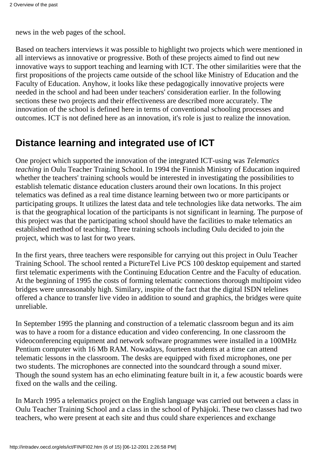news in the web pages of the school.

Based on teachers interviews it was possible to highlight two projects which were mentioned in all interviews as innovative or progressive. Both of these projects aimed to find out new innovative ways to support teaching and learning with ICT. The other similarities were that the first propositions of the projects came outside of the school like Ministry of Education and the Faculty of Education. Anyhow, it looks like these pedagogically innovative projects were needed in the school and had been under teachers' consideration earlier. In the following sections these two projects and their effectiveness are described more accurately. The innovation of the school is defined here in terms of conventional schooling processes and outcomes. ICT is not defined here as an innovation, it's role is just to realize the innovation.

### **Distance learning and integrated use of ICT**

One project which supported the innovation of the integrated ICT-using was *Telematics teaching* in Oulu Teacher Training School. In 1994 the Finnish Ministry of Education inquired whether the teachers' training schools would be interested in investigating the possibilities to establish telematic distance education clusters around their own locations. In this project telematics was defined as a real time distance learning between two or more participants or participating groups. It utilizes the latest data and tele technologies like data networks. The aim is that the geographical location of the participants is not significant in learning. The purpose of this project was that the participating school should have the facilities to make telematics an established method of teaching. Three training schools including Oulu decided to join the project, which was to last for two years.

In the first years, three teachers were responsible for carrying out this project in Oulu Teacher Training School. The school rented a PictureTel Live PCS 100 desktop equipement and started first telematic experiments with the Continuing Education Centre and the Faculty of education. At the beginning of 1995 the costs of forming telematic connections thorough multipoint video bridges were unreasonably high. Similary, inspite of the fact that the digital ISDN telelines offered a chance to transfer live video in addition to sound and graphics, the bridges were quite unreliable.

In September 1995 the planning and construction of a telematic classroom begun and its aim was to have a room for a distance education and video conferencing. In one classroom the videoconferencing equipment and network software programmes were installed in a 100MHz Pentium computer with 16 Mb RAM. Nowadays, fourteen students at a time can attend telematic lessons in the classroom. The desks are equipped with fixed microphones, one per two students. The microphones are connected into the soundcard through a sound mixer. Though the sound system has an echo eliminating feature built in it, a few acoustic boards were fixed on the walls and the ceiling.

In March 1995 a telematics project on the English language was carried out between a class in Oulu Teacher Training School and a class in the school of Pyhäjoki. These two classes had two teachers, who were present at each site and thus could share experiences and exchange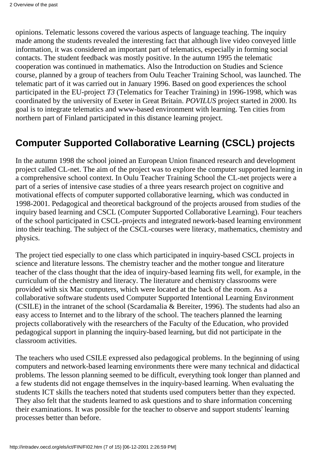opinions. Telematic lessons covered the various aspects of language teaching. The inquiry made among the students revealed the interesting fact that although live video conveyed little information, it was considered an important part of telematics, especially in forming social contacts. The student feedback was mostly positive. In the autumn 1995 the telematic cooperation was continued in mathematics. Also the Introduction on Studies and Science course, planned by a group of teachers from Oulu Teacher Training School, was launched. The telematic part of it was carried out in January 1996. Based on good experiences the school participated in the EU-project *T3* (Telematics for Teacher Training) in 1996-1998, which was coordinated by the university of Exeter in Great Britain. *POVILUS* project started in 2000. Its goal is to integrate telematics and www-based environment with learning. Ten cities from northern part of Finland participated in this distance learning project.

## **Computer Supported Collaborative Learning (CSCL) projects**

In the autumn 1998 the school joined an European Union financed research and development project called CL-net. The aim of the project was to explore the computer supported learning in a comprehensive school context. In Oulu Teacher Training School the CL-net projects were a part of a series of intensive case studies of a three years research project on cognitive and motivational effects of computer supported collaborative learning, which was conducted in 1998-2001. Pedagogical and theoretical background of the projects aroused from studies of the inquiry based learning and CSCL (Computer Supported Collaborative Learning). Four teachers of the school participated in CSCL-projects and integrated nework-based learning environment into their teaching. The subject of the CSCL-courses were literacy, mathematics, chemistry and physics.

The project tied especially to one class which participated in inquiry-based CSCL projects in science and literature lessons. The chemistry teacher and the mother tongue and literature teacher of the class thought that the idea of inquiry-based learning fits well, for example, in the curriculum of the chemistry and literacy. The literature and chemistry classrooms were provided with six Mac computers, which were located at the back of the room. As a collaborative software students used Computer Supported Intentional Learning Environment (CSILE) in the intranet of the school (Scardamalia & Bereiter, 1996). The students had also an easy access to Internet and to the library of the school. The teachers planned the learning projects collaboratively with the researchers of the Faculty of the Education, who provided pedagogical support in planning the inquiry-based learning, but did not participate in the classroom activities.

The teachers who used CSILE expressed also pedagogical problems. In the beginning of using computers and network-based learning environments there were many technical and didactical problems. The lesson planning seemed to be difficult, everything took longer than planned and a few students did not engage themselves in the inquiry-based learning. When evaluating the students ICT skills the teachers noted that students used computers better than they expected. They also felt that the students learned to ask questions and to share information concerning their examinations. It was possible for the teacher to observe and support students' learning processes better than before.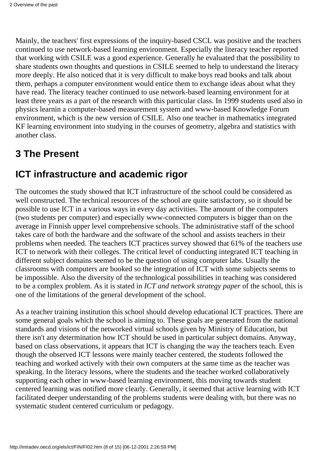Mainly, the teachers' first expressions of the inquiry-based CSCL was positive and the teachers continued to use network-based learning environment. Especially the literacy teacher reported that working with CSILE was a good experience. Generally he evaluated that the possibility to share students own thoughts and questions in CSILE seemed to help to understand the literacy more deeply. He also noticed that it is very difficult to make boys read books and talk about them, perhaps a computer environment would entice them to exchange ideas about what they have read. The literacy teacher continued to use network-based learning environment for at least three years as a part of the research with this particular class. In 1999 students used also in physics learnin a computer-based measurement system and www-based Knowledge Forum environment, which is the new version of CSILE. Also one teacher in mathematics integrated KF learning environment into studying in the courses of geometry, algebra and statistics with another class.

## **3 The Present**

#### **ICT infrastructure and academic rigor**

The outcomes the study showed that ICT infrastructure of the school could be considered as well constructed. The technical resources of the school are quite satisfactory, so it should be possible to use ICT in a various ways in every day activities. The amount of the computers (two students per computer) and especially www-connected computers is bigger than on the average in Finnish upper level comprehensive schools. The administrative staff of the school takes care of both the hardware and the software of the school and assists teachers in their problems when needed. The teachers ICT practices survey showed that 61% of the teachers use ICT to network with their colleges. The critical level of conducting integrated ICT teaching in different subject domains seemed to be the question of using computer labs. Usually the classrooms with computers are booked so the integration of ICT with some subjects seems to be impossible. Also the diversity of the technological possibilities in teaching was considered to be a complex problem. As it is stated in *ICT and network strategy paper* of the school, this is one of the limitations of the general development of the school.

As a teacher training institution this school should develop educational ICT practices. There are some general goals which the school is aiming to. These goals are generated from the national standards and visions of the networked virtual schools given by Ministry of Education, but there isn't any determination how ICT should be used in particular subject domains. Anyway, based on class observations, it appears that ICT is changing the way the teachers teach. Even though the observed ICT lessons were mainly teacher centered, the students followed the teaching and worked actively with their own computers at the same time as the teacher was speaking. In the literacy lessons, where the students and the teacher worked collaboratively supporting each other in www-based learning environment, this moving towards student centered learning was notified more clearly. Generally, it seemed that active learning with ICT facilitated deeper understanding of the problems students were dealing with, but there was no systematic student centered curriculum or pedagogy.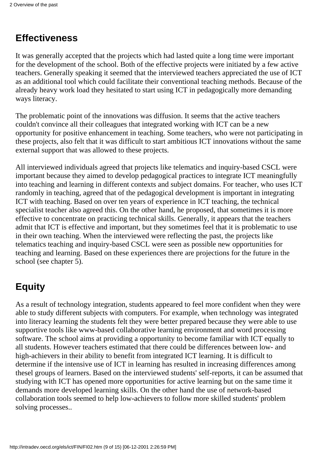## **Effectiveness**

It was generally accepted that the projects which had lasted quite a long time were important for the development of the school. Both of the effective projects were initiated by a few active teachers. Generally speaking it seemed that the interviewed teachers appreciated the use of ICT as an additional tool which could facilitate their conventional teaching methods. Because of the already heavy work load they hesitated to start using ICT in pedagogically more demanding ways literacy.

The problematic point of the innovations was diffusion. It seems that the active teachers couldn't convince all their colleagues that integrated working with ICT can be a new opportunity for positive enhancement in teaching. Some teachers, who were not participating in these projects, also felt that it was difficult to start ambitious ICT innovations without the same external support that was allowed to these projects.

All interviewed individuals agreed that projects like telematics and inquiry-based CSCL were important because they aimed to develop pedagogical practices to integrate ICT meaningfully into teaching and learning in different contexts and subject domains. For teacher, who uses ICT randomly in teaching, agreed that of the pedagogical development is important in integrating ICT with teaching. Based on over ten years of experience in ICT teaching, the technical specialist teacher also agreed this. On the other hand, he proposed, that sometimes it is more effective to concentrate on practicing technical skills. Generally, it appears that the teachers admit that ICT is effective and important, but they sometimes feel that it is problematic to use in their own teaching. When the interviewed were reflecting the past, the projects like telematics teaching and inquiry-based CSCL were seen as possible new opportunities for teaching and learning. Based on these experiences there are projections for the future in the school (see chapter 5).

# **Equity**

As a result of technology integration, students appeared to feel more confident when they were able to study different subjects with computers. For example, when technology was integrated into literacy learning the students felt they were better prepared because they were able to use supportive tools like www-based collaborative learning environment and word processing software. The school aims at providing a opportunity to become familiar with ICT equally to all students. However teachers estimated that there could be differences between low- and high-achievers in their ability to benefit from integrated ICT learning. It is difficult to determine if the intensive use of ICT in learning has resulted in increasing differences among thesel groups of learners. Based on the interviewed students' self-reports, it can be assumed that studying with ICT has opened more opportunities for active learning but on the same time it demands more developed learning skills. On the other hand the use of network-based collaboration tools seemed to help low-achievers to follow more skilled students' problem solving processes..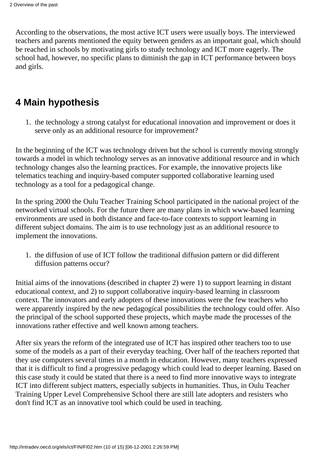According to the observations, the most active ICT users were usually boys. The interviewed teachers and parents mentioned the equity between genders as an important goal, which should be reached in schools by motivating girls to study technology and ICT more eagerly. The school had, however, no specific plans to diminish the gap in ICT performance between boys and girls.

### **4 Main hypothesis**

1. the technology a strong catalyst for educational innovation and improvement or does it serve only as an additional resource for improvement?

In the beginning of the ICT was technology driven but the school is currently moving strongly towards a model in which technology serves as an innovative additional resource and in which technology changes also the learning practices. For example, the innovative projects like telematics teaching and inquiry-based computer supported collaborative learning used technology as a tool for a pedagogical change.

In the spring 2000 the Oulu Teacher Training School participated in the national project of the networked virtual schools. For the future there are many plans in which www-based learning environments are used in both distance and face-to-face contexts to support learning in different subject domains. The aim is to use technology just as an additional resource to implement the innovations.

1. the diffusion of use of ICT follow the traditional diffusion pattern or did different diffusion patterns occur?

Initial aims of the innovations (described in chapter 2) were 1) to support learning in distant educational context, and 2) to support collaborative inquiry-based learning in classroom context. The innovators and early adopters of these innovations were the few teachers who were apparently inspired by the new pedagogical possibilities the technology could offer. Also the principal of the school supported these projects, which maybe made the processes of the innovations rather effective and well known among teachers.

After six years the reform of the integrated use of ICT has inspired other teachers too to use some of the models as a part of their everyday teaching. Over half of the teachers reported that they use computers several times in a month in education. However, many teachers expressed that it is difficult to find a progressive pedagogy which could lead to deeper learning. Based on this case study it could be stated that there is a need to find more innovative ways to integrate ICT into different subject matters, especially subjects in humanities. Thus, in Oulu Teacher Training Upper Level Comprehensive School there are still late adopters and resisters who don't find ICT as an innovative tool which could be used in teaching.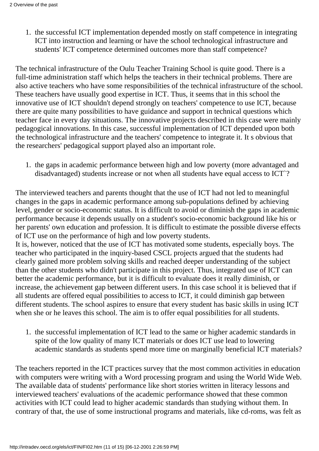1. the successful ICT implementation depended mostly on staff competence in integrating ICT into instruction and learning or have the school technological infrastructure and students' ICT competence determined outcomes more than staff competence?

The technical infrastructure of the Oulu Teacher Training School is quite good. There is a full-time administration staff which helps the teachers in their technical problems. There are also active teachers who have some responsibilities of the technical infrastructure of the school. These teachers have usually good expertise in ICT. Thus, it seems that in this school the innovative use of ICT shouldn't depend strongly on teachers' competence to use ICT, because there are quite many possibilities to have guidance and support in technical questions which teacher face in every day situations. The innovative projects described in this case were mainly pedagogical innovations. In this case, successful implementation of ICT depended upon both the technological infrastructure and the teachers' competence to integrate it. It s obvious that the researchers' pedagogical support played also an important role.

1. the gaps in academic performance between high and low poverty (more advantaged and disadvantaged) students increase or not when all students have equal access to ICT`?

The interviewed teachers and parents thought that the use of ICT had not led to meaningful changes in the gaps in academic performance among sub-populations defined by achieving level, gender or socio-economic status. It is difficult to avoid or diminish the gaps in academic performance because it depends usually on a student's socio-economic background like his or her parents' own education and profession. It is difficult to estimate the possible diverse effects of ICT use on the performance of high and low poverty students.

It is, however, noticed that the use of ICT has motivated some students, especially boys. The teacher who participated in the inquiry-based CSCL projects argued that the students had clearly gained more problem solving skills and reached deeper understanding of the subject than the other students who didn't participate in this project. Thus, integrated use of ICT can better the academic performance, but it is difficult to evaluate does it really diminish, or increase, the achievement gap between different users. In this case school it is believed that if all students are offered equal possibilities to access to ICT, it could diminish gap between different students. The school aspires to ensure that every student has basic skills in using ICT when she or he leaves this school. The aim is to offer equal possibilities for all students.

1. the successful implementation of ICT lead to the same or higher academic standards in spite of the low quality of many ICT materials or does ICT use lead to lowering academic standards as students spend more time on marginally beneficial ICT materials?

The teachers reported in the ICT practices survey that the most common activities in education with computers were writing with a Word processing program and using the World Wide Web. The available data of students' performance like short stories written in literacy lessons and interviewed teachers' evaluations of the academic performance showed that these common activities with ICT could lead to higher academic standards than studying without them. In contrary of that, the use of some instructional programs and materials, like cd-roms, was felt as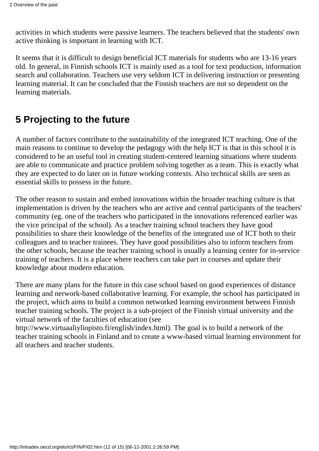activities in which students were passive learners. The teachers believed that the students' own active thinking is important in learning with ICT.

It seems that it is difficult to design beneficial ICT materials for students who are 13-16 years old. In general, in Finnish schools ICT is mainly used as a tool for text production, information search and collaboration. Teachers use very seldom ICT in delivering instruction or presenting learning material. It can be concluded that the Finnish teachers are not so dependent on the learning materials.

## **5 Projecting to the future**

A number of factors contribute to the sustainability of the integrated ICT teaching. One of the main reasons to continue to develop the pedagogy with the help ICT is that in this school it is considered to be an useful tool in creating student-centered learning situations where students are able to communicate and practice problem solving together as a team. This is exactly what they are expected to do later on in future working contexts. Also technical skills are seen as essential skills to possess in the future.

The other reason to sustain and embed innovations within the broader teaching culture is that implementation is driven by the teachers who are active and central participants of the teachers' community (eg. one of the teachers who participated in the innovations referenced earlier was the vice principal of the school). As a teacher training school teachers they have good possibilities to share their knowledge of the benefits of the integrated use of ICT both to their colleagues and to teacher trainees. They have good possibilities also to inform teachers from the other schools, because the teacher training school is usually a learning center for in-service training of teachers. It is a place where teachers can take part in courses and update their knowledge about modern education.

There are many plans for the future in this case school based on good experiences of distance learning and nerwork-based collaborative learning. For example, the school has participated in the project, which aims to build a common networked learning environment between Finnish teacher training schools. The project is a sub-project of the Finnish virtual university and the virtual network of the faculties of education (see

http://www.virtuaaliyliopisto.fi/english/index.html). The goal is to build a network of the teacher training schools in Finland and to create a www-based virtual learning environment for all teachers and teacher students.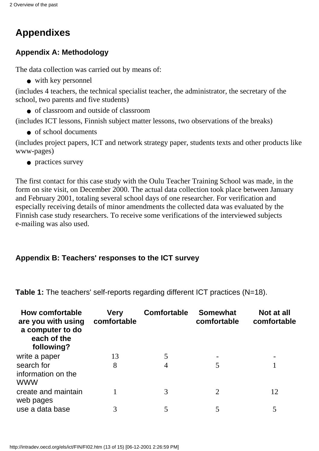# **Appendixes**

#### **Appendix A: Methodology**

The data collection was carried out by means of:

● with key personnel

(includes 4 teachers, the technical specialist teacher, the administrator, the secretary of the school, two parents and five students)

● of classroom and outside of classroom

(includes ICT lessons, Finnish subject matter lessons, two observations of the breaks)

● of school documents

(includes project papers, ICT and network strategy paper, students texts and other products like www-pages)

● practices survey

The first contact for this case study with the Oulu Teacher Training School was made, in the form on site visit, on December 2000. The actual data collection took place between January and February 2001, totaling several school days of one researcher. For verification and especially receiving details of minor amendments the collected data was evaluated by the Finnish case study researchers. To receive some verifications of the interviewed subjects e-mailing was also used.

#### **Appendix B: Teachers' responses to the ICT survey**

| <b>How comfortable</b><br>are you with using<br>a computer to do<br>each of the<br>following? | <b>Very</b><br>comfortable | <b>Comfortable</b> | <b>Somewhat</b><br>comfortable | Not at all<br>comfortable |
|-----------------------------------------------------------------------------------------------|----------------------------|--------------------|--------------------------------|---------------------------|
| write a paper                                                                                 | 13                         |                    |                                |                           |
| search for<br>information on the<br><b>WWW</b>                                                | 8                          |                    |                                |                           |
| create and maintain<br>web pages                                                              |                            | 3                  | 2                              | 12                        |
| use a data base                                                                               | 3                          |                    |                                |                           |

**Table 1:** The teachers' self-reports regarding different ICT practices (N=18).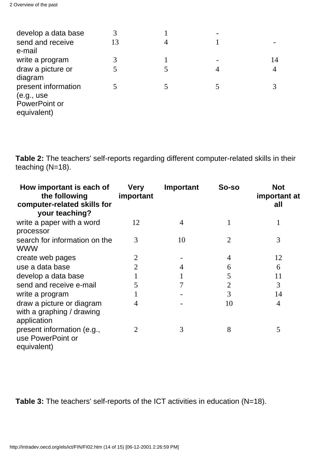| develop a data base |    |   |   |    |
|---------------------|----|---|---|----|
| send and receive    | 13 | 4 |   |    |
| e-mail              |    |   |   |    |
| write a program     | 3  |   |   | 14 |
| draw a picture or   |    |   | 4 |    |
| diagram             |    |   |   |    |
| present information |    |   |   |    |
| (e.g., use          |    |   |   |    |
| PowerPoint or       |    |   |   |    |
| equivalent)         |    |   |   |    |

**Table 2:** The teachers' self-reports regarding different computer-related skills in their teaching (N=18).

| How important is each of<br>the following<br>computer-related skills for<br>your teaching? | <b>Very</b><br>important | Important      | So-so          | <b>Not</b><br>important at<br>all |
|--------------------------------------------------------------------------------------------|--------------------------|----------------|----------------|-----------------------------------|
| write a paper with a word<br>processor                                                     | 12                       | $\overline{4}$ | 1              | 1                                 |
| search for information on the<br><b>WWW</b>                                                | 3                        | 10             | $\overline{2}$ | 3                                 |
| create web pages                                                                           |                          |                | 4              | 12                                |
| use a data base                                                                            |                          | 4              | 6              | 6                                 |
| develop a data base                                                                        |                          |                | 5              | 11                                |
| send and receive e-mail                                                                    | 5                        |                | $\overline{2}$ | 3                                 |
| write a program                                                                            |                          |                | 3              | 14                                |
| draw a picture or diagram<br>with a graphing / drawing<br>application                      | 4                        |                | 10             | 4                                 |
| present information (e.g.,<br>use PowerPoint or<br>equivalent)                             | 2                        | 3              | 8              | 5                                 |

**Table 3:** The teachers' self-reports of the ICT activities in education (N=18).